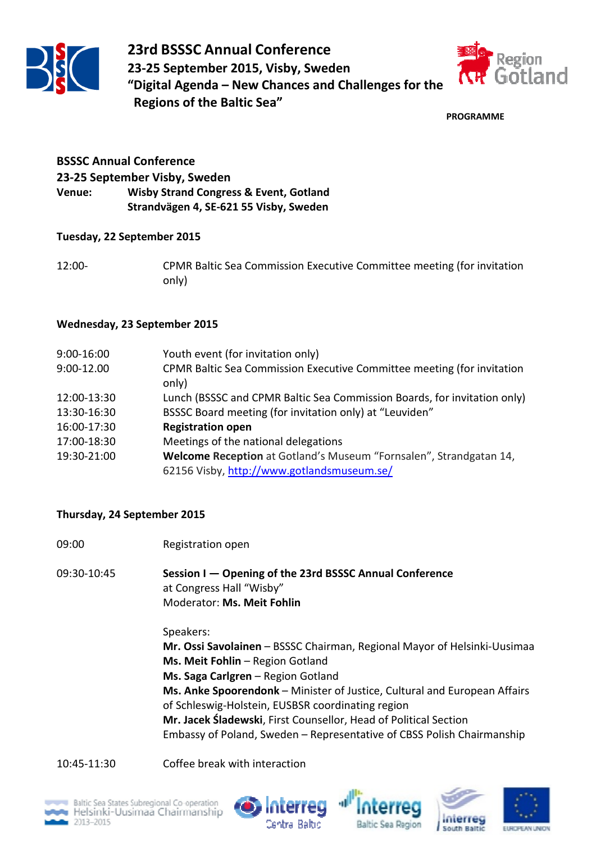



**PROGRAMME**

## **BSSSC Annual Conference 23-25 September Visby, Sweden Venue: Wisby Strand Congress & Event, Gotland Strandvägen 4, SE-621 55 Visby, Sweden**

## **Tuesday, 22 September 2015**

12:00- CPMR Baltic Sea Commission Executive Committee meeting (for invitation only)

## **Wednesday, 23 September 2015**

| 9:00-16:00  | Youth event (for invitation only)                                        |
|-------------|--------------------------------------------------------------------------|
| 9:00-12.00  | CPMR Baltic Sea Commission Executive Committee meeting (for invitation   |
|             | only)                                                                    |
| 12:00-13:30 | Lunch (BSSSC and CPMR Baltic Sea Commission Boards, for invitation only) |
| 13:30-16:30 | BSSSC Board meeting (for invitation only) at "Leuviden"                  |
| 16:00-17:30 | <b>Registration open</b>                                                 |
| 17:00-18:30 | Meetings of the national delegations                                     |
| 19:30-21:00 | Welcome Reception at Gotland's Museum "Fornsalen", Strandgatan 14,       |
|             | 62156 Visby, http://www.gotlandsmuseum.se/                               |

## **Thursday, 24 September 2015**

09:00 Registration open

09:30-10:45 **Session I — Opening of the 23rd BSSSC Annual Conference** at Congress Hall "Wisby" Moderator: **Ms. Meit Fohlin**

Speakers:

**Mr. Ossi Savolainen** – BSSSC Chairman, Regional Mayor of Helsinki-Uusimaa **Ms. Meit Fohlin** – Region Gotland

**Ms. Saga Carlgren** – Region Gotland

**Ms. Anke Spoorendonk** – Minister of Justice, Cultural and European Affairs of Schleswig-Holstein, EUSBSR coordinating region

**Mr. Jacek Śladewski**, First Counsellor, Head of Political Section Embassy of Poland, Sweden – Representative of CBSS Polish Chairmanship

10:45-11:30 Coffee break with interaction









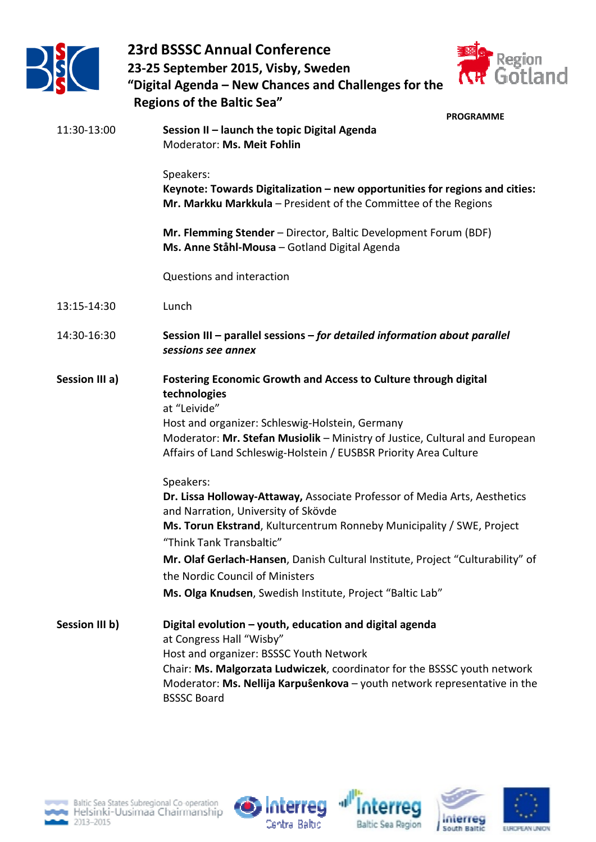



| <b>Regions of the Baltic Sea"</b> |                                                                                                                                                                                                                                                                                                                                                                                                                      |
|-----------------------------------|----------------------------------------------------------------------------------------------------------------------------------------------------------------------------------------------------------------------------------------------------------------------------------------------------------------------------------------------------------------------------------------------------------------------|
| 11:30-13:00                       | <b>PROGRAMME</b><br>Session II - launch the topic Digital Agenda<br>Moderator: Ms. Meit Fohlin                                                                                                                                                                                                                                                                                                                       |
|                                   | Speakers:<br>Keynote: Towards Digitalization - new opportunities for regions and cities:<br>Mr. Markku Markkula - President of the Committee of the Regions                                                                                                                                                                                                                                                          |
|                                   | Mr. Flemming Stender - Director, Baltic Development Forum (BDF)<br>Ms. Anne Ståhl-Mousa - Gotland Digital Agenda                                                                                                                                                                                                                                                                                                     |
|                                   | Questions and interaction                                                                                                                                                                                                                                                                                                                                                                                            |
| 13:15-14:30                       | Lunch                                                                                                                                                                                                                                                                                                                                                                                                                |
| 14:30-16:30                       | Session III - parallel sessions - for detailed information about parallel<br>sessions see annex                                                                                                                                                                                                                                                                                                                      |
| Session III a)                    | <b>Fostering Economic Growth and Access to Culture through digital</b><br>technologies<br>at "Leivide"<br>Host and organizer: Schleswig-Holstein, Germany<br>Moderator: Mr. Stefan Musiolik - Ministry of Justice, Cultural and European<br>Affairs of Land Schleswig-Holstein / EUSBSR Priority Area Culture                                                                                                        |
|                                   | Speakers:<br>Dr. Lissa Holloway-Attaway, Associate Professor of Media Arts, Aesthetics<br>and Narration, University of Skövde<br>Ms. Torun Ekstrand, Kulturcentrum Ronneby Municipality / SWE, Project<br>"Think Tank Transbaltic"<br>Mr. Olaf Gerlach-Hansen, Danish Cultural Institute, Project "Culturability" of<br>the Nordic Council of Ministers<br>Ms. Olga Knudsen, Swedish Institute, Project "Baltic Lab" |
| Session III b)                    | Digital evolution - youth, education and digital agenda<br>at Congress Hall "Wisby"<br>Host and organizer: BSSSC Youth Network<br>Chair: Ms. Malgorzata Ludwiczek, coordinator for the BSSSC youth network<br>Moderator: Ms. Nellija Karpuŝenkova - youth network representative in the<br><b>BSSSC Board</b>                                                                                                        |







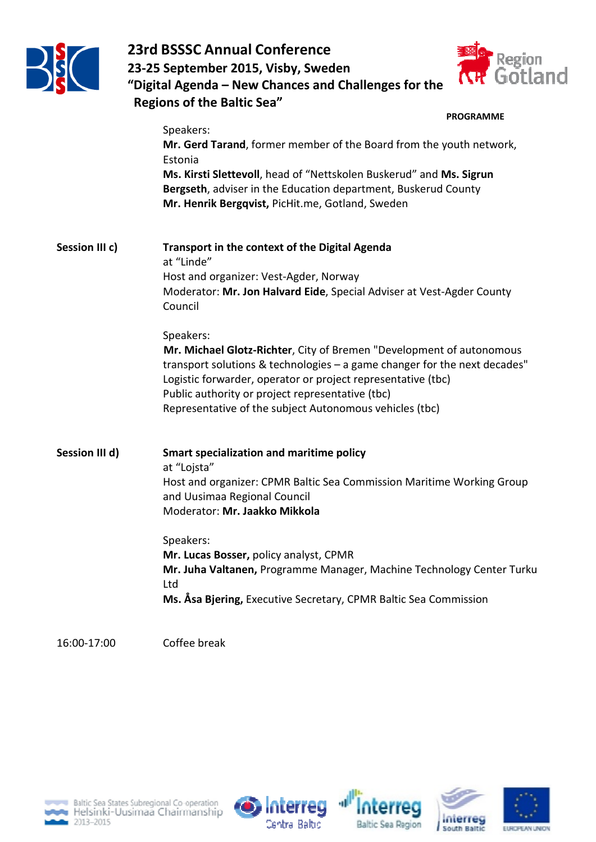



|                | <b>PROGRAMME</b>                                                                                                                                                                                                                                                      |
|----------------|-----------------------------------------------------------------------------------------------------------------------------------------------------------------------------------------------------------------------------------------------------------------------|
|                | Speakers:                                                                                                                                                                                                                                                             |
|                | Mr. Gerd Tarand, former member of the Board from the youth network,<br>Estonia                                                                                                                                                                                        |
|                | Ms. Kirsti Slettevoll, head of "Nettskolen Buskerud" and Ms. Sigrun<br>Bergseth, adviser in the Education department, Buskerud County<br>Mr. Henrik Bergqvist, PicHit.me, Gotland, Sweden                                                                             |
| Session III c) | <b>Transport in the context of the Digital Agenda</b><br>at "Linde"                                                                                                                                                                                                   |
|                | Host and organizer: Vest-Agder, Norway                                                                                                                                                                                                                                |
|                | Moderator: Mr. Jon Halvard Eide, Special Adviser at Vest-Agder County<br>Council                                                                                                                                                                                      |
|                | Speakers:                                                                                                                                                                                                                                                             |
|                | Mr. Michael Glotz-Richter, City of Bremen "Development of autonomous<br>transport solutions & technologies - a game changer for the next decades"<br>Logistic forwarder, operator or project representative (tbc)<br>Public authority or project representative (tbc) |
|                | Representative of the subject Autonomous vehicles (tbc)                                                                                                                                                                                                               |
| Session III d) | <b>Smart specialization and maritime policy</b>                                                                                                                                                                                                                       |
|                | at "Lojsta"                                                                                                                                                                                                                                                           |
|                | Host and organizer: CPMR Baltic Sea Commission Maritime Working Group<br>and Uusimaa Regional Council                                                                                                                                                                 |
|                | Moderator: Mr. Jaakko Mikkola                                                                                                                                                                                                                                         |
|                | Speakers:                                                                                                                                                                                                                                                             |
|                | Mr. Lucas Bosser, policy analyst, CPMR                                                                                                                                                                                                                                |
|                | Mr. Juha Valtanen, Programme Manager, Machine Technology Center Turku<br>Ltd                                                                                                                                                                                          |
|                | Ms. Åsa Bjering, Executive Secretary, CPMR Baltic Sea Commission                                                                                                                                                                                                      |
|                |                                                                                                                                                                                                                                                                       |

16:00-17:00 Coffee break









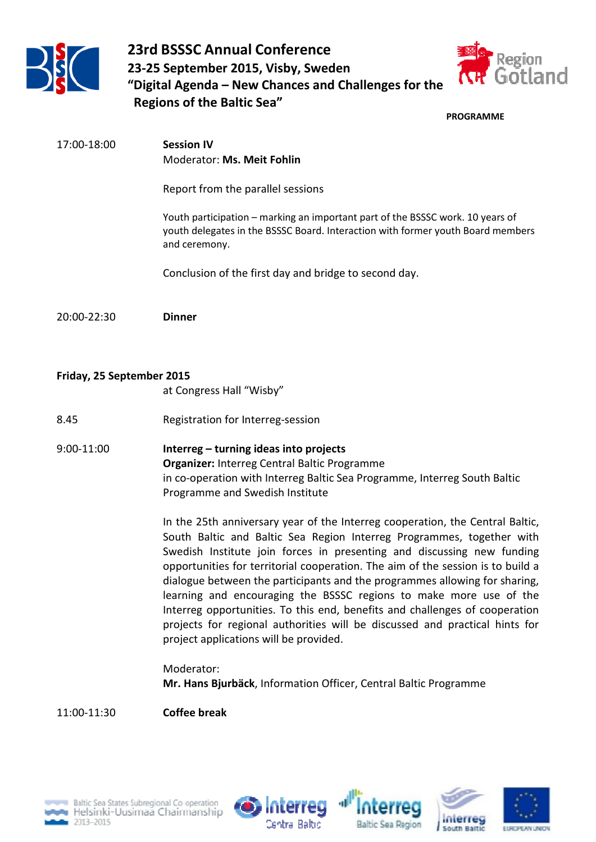



**PROGRAMME**

| 17:00-18:00 | <b>Session IV</b><br>Moderator: Ms. Meit Fohlin                                                                                                                                    |
|-------------|------------------------------------------------------------------------------------------------------------------------------------------------------------------------------------|
|             | Report from the parallel sessions                                                                                                                                                  |
|             | Youth participation – marking an important part of the BSSSC work. 10 years of<br>youth delegates in the BSSSC Board. Interaction with former youth Board members<br>and ceremony. |
|             | Conclusion of the first day and bridge to second day.                                                                                                                              |
| 20:00-22:30 | <b>Dinner</b>                                                                                                                                                                      |

## **Friday, 25 September 2015**

at Congress Hall "Wisby"

- 8.45 Registration for Interreg-session
- 9:00-11:00 **Interreg turning ideas into projects Organizer:** Interreg Central Baltic Programme in co-operation with Interreg Baltic Sea Programme, Interreg South Baltic Programme and Swedish Institute

In the 25th anniversary year of the Interreg cooperation, the Central Baltic, South Baltic and Baltic Sea Region Interreg Programmes, together with Swedish Institute join forces in presenting and discussing new funding opportunities for territorial cooperation. The aim of the session is to build a dialogue between the participants and the programmes allowing for sharing, learning and encouraging the BSSSC regions to make more use of the Interreg opportunities. To this end, benefits and challenges of cooperation projects for regional authorities will be discussed and practical hints for project applications will be provided.

Moderator: **Mr. Hans Bjurbäck**, Information Officer, Central Baltic Programme

11:00-11:30 **Coffee break** 









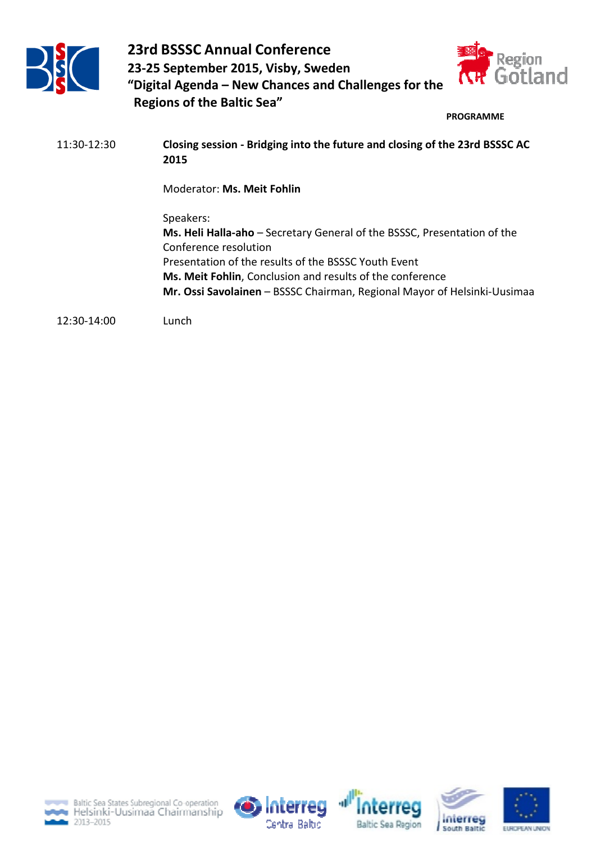



#### **PROGRAMME**

11:30-12:30 **Closing session - Bridging into the future and closing of the 23rd BSSSC AC 2015** 

Moderator: **Ms. Meit Fohlin** 

Speakers: **Ms. Heli Halla-aho** – Secretary General of the BSSSC, Presentation of the Conference resolution Presentation of the results of the BSSSC Youth Event **Ms. Meit Fohlin**, Conclusion and results of the conference **Mr. Ossi Savolainen** – BSSSC Chairman, Regional Mayor of Helsinki-Uusimaa

12:30-14:00Lunch









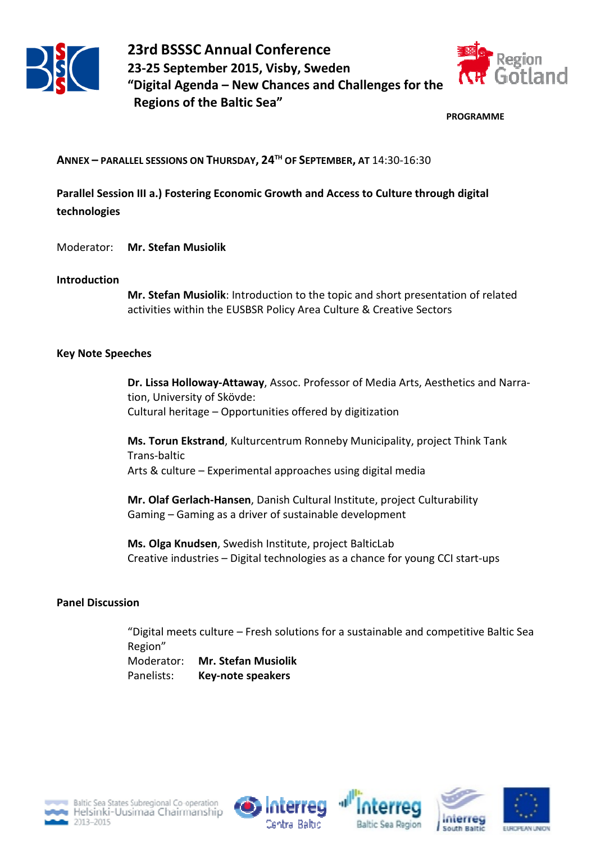



**PROGRAMME**

**ANNEX – PARALLEL SESSIONS ON THURSDAY, 24TH OF SEPTEMBER, AT** 14:30-16:30

**Parallel Session III a.) Fostering Economic Growth and Access to Culture through digital technologies** 

Moderator: **Mr. Stefan Musiolik**

#### **Introduction**

**Mr. Stefan Musiolik**: Introduction to the topic and short presentation of related activities within the EUSBSR Policy Area Culture & Creative Sectors

## **Key Note Speeches**

**Dr. Lissa Holloway-Attaway**, Assoc. Professor of Media Arts, Aesthetics and Narration, University of Skövde: Cultural heritage – Opportunities offered by digitization

**Ms. Torun Ekstrand**, Kulturcentrum Ronneby Municipality, project Think Tank Trans-baltic Arts & culture – Experimental approaches using digital media

**Mr. Olaf Gerlach-Hansen**, Danish Cultural Institute, project Culturability Gaming – Gaming as a driver of sustainable development

**Ms. Olga Knudsen**, Swedish Institute, project BalticLab Creative industries – Digital technologies as a chance for young CCI start-ups

## **Panel Discussion**

"Digital meets culture – Fresh solutions for a sustainable and competitive Baltic Sea Region" Moderator: **Mr. Stefan Musiolik** Panelists: **Key-note speakers** 









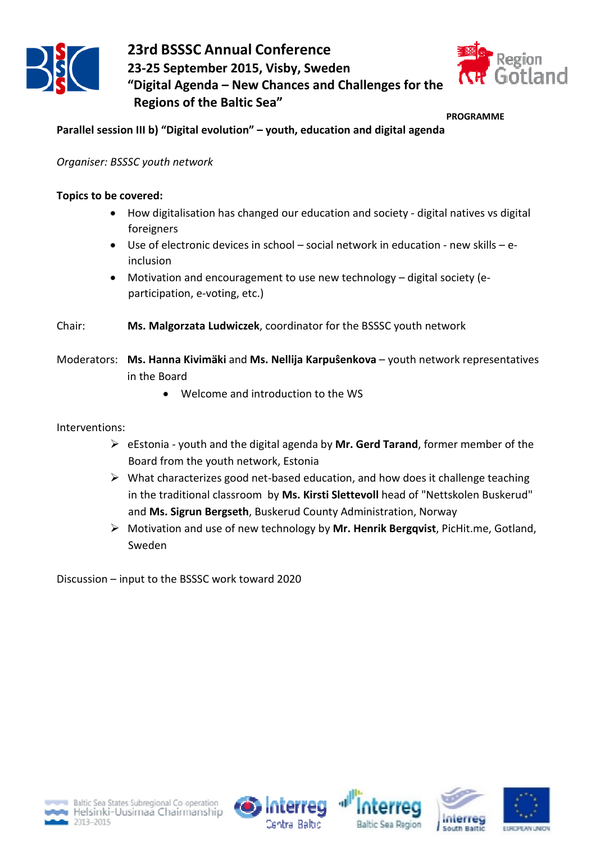



#### **PROGRAMME**

**Parallel session III b) "Digital evolution" – youth, education and digital agenda** 

*Organiser: BSSSC youth network* 

## **Topics to be covered:**

- How digitalisation has changed our education and society digital natives vs digital foreigners
- Use of electronic devices in school social network in education new skills einclusion
- Motivation and encouragement to use new technology digital society (eparticipation, e-voting, etc.)
- Chair: **Ms. Malgorzata Ludwiczek**, coordinator for the BSSSC youth network
- Moderators: **Ms. Hanna Kivimäki** and **Ms. Nellija Karpuŝenkova** youth network representatives in the Board
	- Welcome and introduction to the WS

Interventions:

- eEstonia youth and the digital agenda by **Mr. Gerd Tarand**, former member of the Board from the youth network, Estonia
- $\triangleright$  What characterizes good net-based education, and how does it challenge teaching in the traditional classroom by **Ms. Kirsti Slettevoll** head of "Nettskolen Buskerud" and **Ms. Sigrun Bergseth**, Buskerud County Administration, Norway
- Motivation and use of new technology by **Mr. Henrik Bergqvist**, PicHit.me, Gotland, Sweden

Discussion – input to the BSSSC work toward 2020